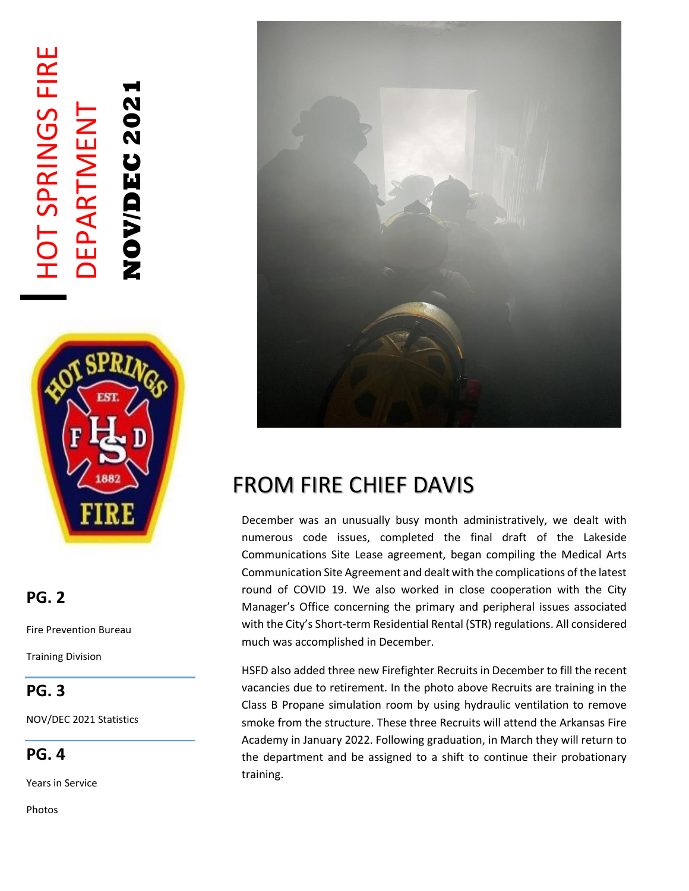# HOT SPRINGS FIRE **HOT SPRINGS FIRE NOV/DEC 2021** NOVDEC202 DEPARTMENT DEPARTMENT



### **PG. 2**

Fire Prevention Bureau

Training Division

## **PG. 3**

NOV/DEC 2021 Statistics

**PG. 4**

Years in Service

Photos



## FROM FIRE CHIEF DAVIS

December was an unusually busy month administratively, we dealt with numerous code issues, completed the final draft of the Lakeside Communications Site Lease agreement, began compiling the Medical Arts Communication Site Agreement and dealt with the complications of the latest round of COVID 19. We also worked in close cooperation with the City Manager's Office concerning the primary and peripheral issues associated with the City's Short-term Residential Rental (STR) regulations. All considered much was accomplished in December.

HSFD also added three new Firefighter Recruits in December to fill the recent vacancies due to retirement. In the photo above Recruits are training in the Class B Propane simulation room by using hydraulic ventilation to remove smoke from the structure. These three Recruits will attend the Arkansas Fire Academy in January 2022. Following graduation, in March they will return to the department and be assigned to a shift to continue their probationary training.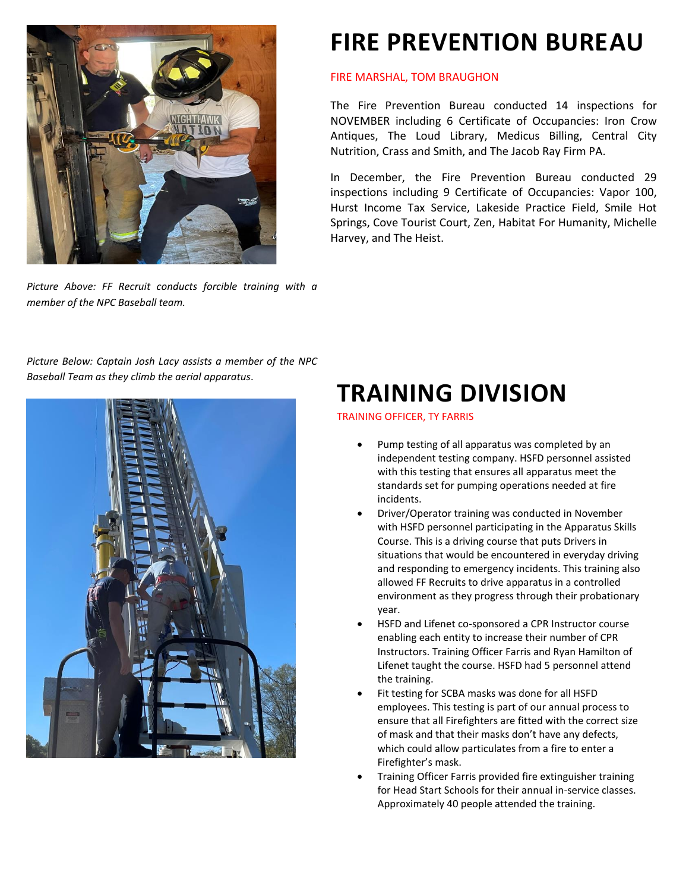

*Picture Above: FF Recruit conducts forcible training with a member of the NPC Baseball team.*

## **FIRE PREVENTION BUREAU**

#### FIRE MARSHAL, TOM BRAUGHON

The Fire Prevention Bureau conducted 14 inspections for NOVEMBER including 6 Certificate of Occupancies: Iron Crow Antiques, The Loud Library, Medicus Billing, Central City Nutrition, Crass and Smith, and The Jacob Ray Firm PA.

In December, the Fire Prevention Bureau conducted 29 inspections including 9 Certificate of Occupancies: Vapor 100, Hurst Income Tax Service, Lakeside Practice Field, Smile Hot Springs, Cove Tourist Court, Zen, Habitat For Humanity, Michelle Harvey, and The Heist.

*Picture Below: Captain Josh Lacy assists a member of the NPC Baseball Team as they climb the aerial apparatus*.



## **TRAINING DIVISION**

TRAINING OFFICER, TY FARRIS

- Pump testing of all apparatus was completed by an independent testing company. HSFD personnel assisted with this testing that ensures all apparatus meet the standards set for pumping operations needed at fire incidents.
- Driver/Operator training was conducted in November with HSFD personnel participating in the Apparatus Skills Course. This is a driving course that puts Drivers in situations that would be encountered in everyday driving and responding to emergency incidents. This training also allowed FF Recruits to drive apparatus in a controlled environment as they progress through their probationary year.
- HSFD and Lifenet co-sponsored a CPR Instructor course enabling each entity to increase their number of CPR Instructors. Training Officer Farris and Ryan Hamilton of Lifenet taught the course. HSFD had 5 personnel attend the training.
- Fit testing for SCBA masks was done for all HSFD employees. This testing is part of our annual process to ensure that all Firefighters are fitted with the correct size of mask and that their masks don't have any defects, which could allow particulates from a fire to enter a Firefighter's mask.
- Training Officer Farris provided fire extinguisher training for Head Start Schools for their annual in-service classes. Approximately 40 people attended the training.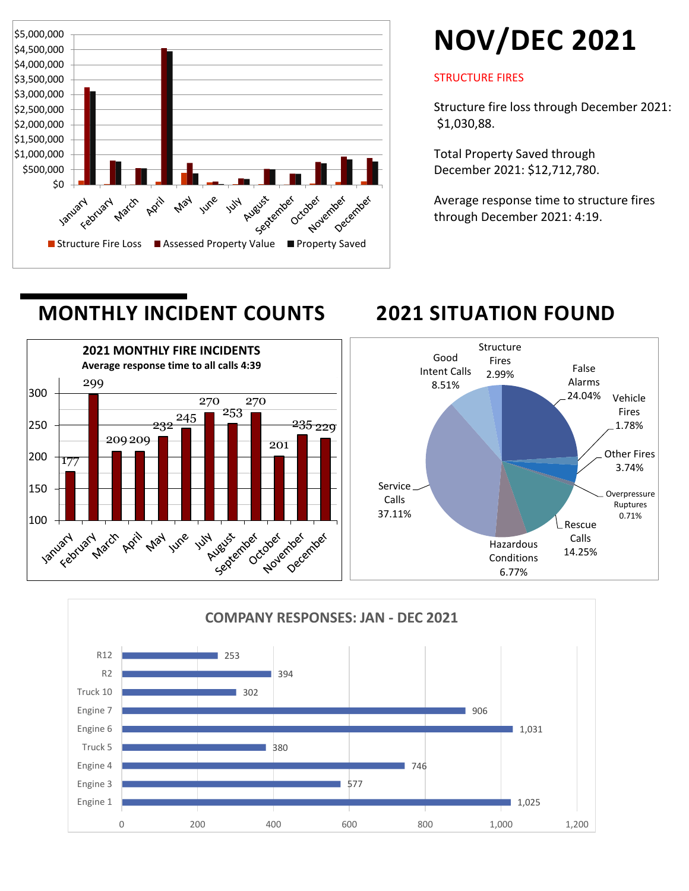

# **NOV/DEC 2021**

#### STRUCTURE FIRES

Structure fire loss through December 2021: \$1,030,88.

Total Property Saved through December 2021: \$12,712,780.

Average response time to structure fires through December 2021: 4:19.





## **MONTHLY INCIDENT COUNTS 2021 SITUATION FOUND**